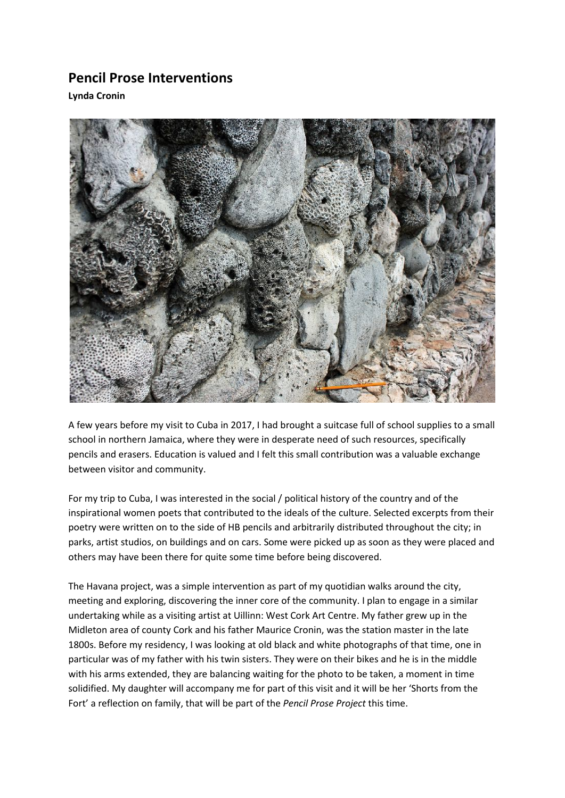## **Pencil Prose Interventions**

**Lynda Cronin** 



A few years before my visit to Cuba in 2017, I had brought a suitcase full of school supplies to a small school in northern Jamaica, where they were in desperate need of such resources, specifically pencils and erasers. Education is valued and I felt this small contribution was a valuable exchange between visitor and community.

For my trip to Cuba, I was interested in the social / political history of the country and of the inspirational women poets that contributed to the ideals of the culture. Selected excerpts from their poetry were written on to the side of HB pencils and arbitrarily distributed throughout the city; in parks, artist studios, on buildings and on cars. Some were picked up as soon as they were placed and others may have been there for quite some time before being discovered.

The Havana project, was a simple intervention as part of my quotidian walks around the city, meeting and exploring, discovering the inner core of the community. I plan to engage in a similar undertaking while as a visiting artist at Uillinn: West Cork Art Centre. My father grew up in the Midleton area of county Cork and his father Maurice Cronin, was the station master in the late 1800s. Before my residency, I was looking at old black and white photographs of that time, one in particular was of my father with his twin sisters. They were on their bikes and he is in the middle with his arms extended, they are balancing waiting for the photo to be taken, a moment in time solidified. My daughter will accompany me for part of this visit and it will be her 'Shorts from the Fort' a reflection on family, that will be part of the *Pencil Prose Project* this time.